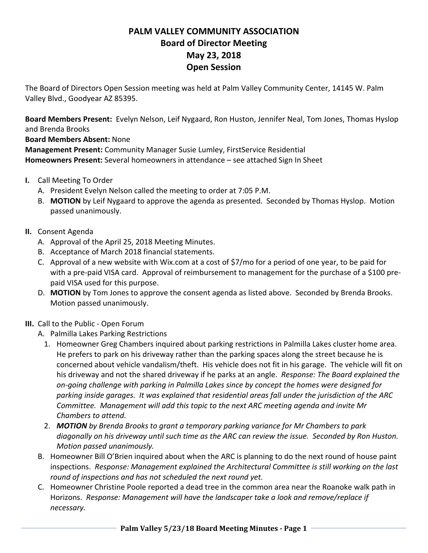## **PALM VALLEY COMMUNITY ASSOCIATION Board of Director Meeting May 23, 2018 Open Session**

The Board of Directors Open Session meeting was held at Palm Valley Community Center, 14145 W. Palm Valley Blvd., Goodyear AZ 85395.

**Board Members Present:** Evelyn Nelson, Leif Nygaard, Ron Huston, Jennifer Neal, Tom Jones, Thomas Hyslop and Brenda Brooks

**Board Members Absent:** None

**Management Present:** Community Manager Susie Lumley, FirstService Residential **Homeowners Present:** Several homeowners in attendance – see attached Sign In Sheet

- **I.** Call Meeting To Order
	- A. President Evelyn Nelson called the meeting to order at 7:05 P.M.
	- B. **MOTION** by Leif Nygaard to approve the agenda as presented. Seconded by Thomas Hyslop. Motion passed unanimously.

## **II.** Consent Agenda

- A. Approval of the April 25, 2018 Meeting Minutes.
- B. Acceptance of March 2018 financial statements.
- C. Approval of a new website with Wix.com at a cost of \$7/mo for a period of one year, to be paid for with a pre-paid VISA card. Approval of reimbursement to management for the purchase of a \$100 prepaid VISA used for this purpose.
- D. **MOTION** by Tom Jones to approve the consent agenda as listed above. Seconded by Brenda Brooks. Motion passed unanimously.
- **III.** Call to the Public ‐ Open Forum
	- A. Palmilla Lakes Parking Restrictions
		- 1. Homeowner Greg Chambers inquired about parking restrictions in Palmilla Lakes cluster home area. He prefers to park on his driveway rather than the parking spaces along the street because he is concerned about vehicle vandalism/theft. His vehicle does not fit in his garage. The vehicle will fit on his driveway and not the shared driveway if he parks at an angle. *Response: The Board explained the on‐going challenge with parking in Palmilla Lakes since by concept the homes were designed for parking inside garages. It was explained that residential areas fall under the jurisdiction of the ARC Committee. Management will add this topic to the next ARC meeting agenda and invite Mr Chambers to attend.*
		- 2. *MOTION by Brenda Brooks to grant a temporary parking variance for Mr Chambers to park* diagonally on his driveway until such time as the ARC can review the issue. Seconded by Ron Huston. *Motion passed unanimously.*
	- B. Homeowner Bill O'Brien inquired about when the ARC is planning to do the next round of house paint inspections. *Response: Management explained the Architectural Committee is still working on the last round of inspections and has not scheduled the next round yet.*
	- C. Homeowner Christine Poole reported a dead tree in the common area near the Roanoke walk path in Horizons. *Response: Management will have the landscaper take a look and remove/replace if necessary.*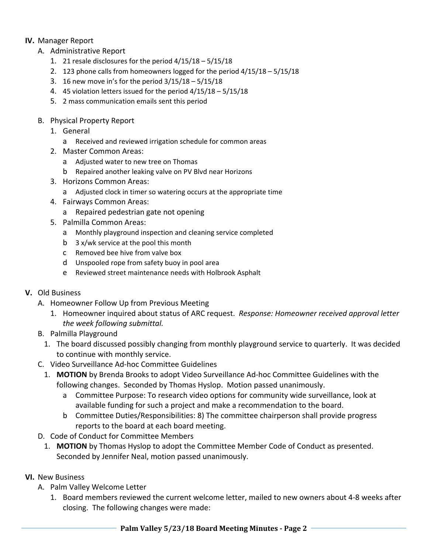## **IV.** Manager Report

- A. Administrative Report
	- 1. 21 resale disclosures for the period 4/15/18 5/15/18
	- 2. 123 phone calls from homeowners logged for the period 4/15/18 5/15/18
	- 3. 16 new move in's for the period 3/15/18 5/15/18
	- 4. 45 violation letters issued for the period 4/15/18 5/15/18
	- 5. 2 mass communication emails sent this period
- B. Physical Property Report
	- 1. General
		- a Received and reviewed irrigation schedule for common areas
	- 2. Master Common Areas:
		- a Adjusted water to new tree on Thomas
		- b Repaired another leaking valve on PV Blvd near Horizons
	- 3. Horizons Common Areas:
		- a Adjusted clock in timer so watering occurs at the appropriate time
	- 4. Fairways Common Areas:
		- a Repaired pedestrian gate not opening
	- 5. Palmilla Common Areas:
		- a Monthly playground inspection and cleaning service completed
		- b 3 x/wk service at the pool this month
		- c Removed bee hive from valve box
		- d Unspooled rope from safety buoy in pool area
		- e Reviewed street maintenance needs with Holbrook Asphalt
- **V.** Old Business
	- A. Homeowner Follow Up from Previous Meeting
		- 1. Homeowner inquired about status of ARC request. *Response: Homeowner received approval letter the week following submittal.*
	- B. Palmilla Playground
		- 1. The board discussed possibly changing from monthly playground service to quarterly. It was decided to continue with monthly service.
	- C. Video Surveillance Ad‐hoc Committee Guidelines
		- 1. **MOTION** by Brenda Brooks to adopt Video Surveillance Ad-hoc Committee Guidelines with the following changes. Seconded by Thomas Hyslop. Motion passed unanimously.
			- a Committee Purpose: To research video options for community wide surveillance, look at available funding for such a project and make a recommendation to the board.
			- b Committee Duties/Responsibilities: 8) The committee chairperson shall provide progress reports to the board at each board meeting.
	- D. Code of Conduct for Committee Members
		- 1. **MOTION** by Thomas Hyslop to adopt the Committee Member Code of Conduct as presented. Seconded by Jennifer Neal, motion passed unanimously.
- **VI.** New Business
	- A. Palm Valley Welcome Letter
		- 1. Board members reviewed the current welcome letter, mailed to new owners about 4‐8 weeks after closing. The following changes were made: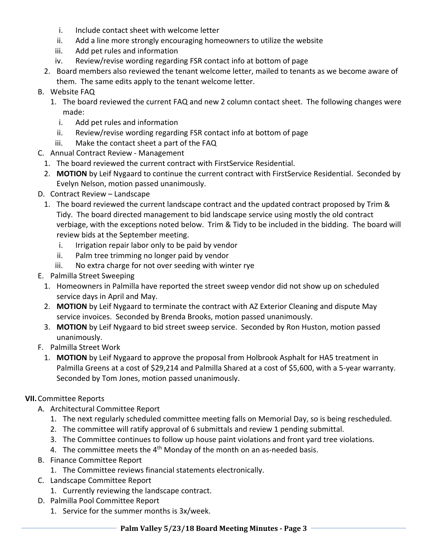- i. Include contact sheet with welcome letter
- ii. Add a line more strongly encouraging homeowners to utilize the website
- iii. Add pet rules and information
- iv. Review/revise wording regarding FSR contact info at bottom of page
- 2. Board members also reviewed the tenant welcome letter, mailed to tenants as we become aware of them. The same edits apply to the tenant welcome letter.
- B. Website FAQ
	- 1. The board reviewed the current FAQ and new 2 column contact sheet. The following changes were made:
		- i. Add pet rules and information
		- ii. Review/revise wording regarding FSR contact info at bottom of page
		- iii. Make the contact sheet a part of the FAQ
- C. Annual Contract Review ‐ Management
	- 1. The board reviewed the current contract with FirstService Residential.
	- 2. **MOTION** by Leif Nygaard to continue the current contract with FirstService Residential. Seconded by Evelyn Nelson, motion passed unanimously.
- D. Contract Review Landscape
	- 1. The board reviewed the current landscape contract and the updated contract proposed by Trim & Tidy. The board directed management to bid landscape service using mostly the old contract verbiage, with the exceptions noted below. Trim & Tidy to be included in the bidding. The board will review bids at the September meeting.
		- i. Irrigation repair labor only to be paid by vendor
		- ii. Palm tree trimming no longer paid by vendor
		- iii. No extra charge for not over seeding with winter rye
- E. Palmilla Street Sweeping
	- 1. Homeowners in Palmilla have reported the street sweep vendor did not show up on scheduled service days in April and May.
	- 2. **MOTION** by Leif Nygaard to terminate the contract with AZ Exterior Cleaning and dispute May service invoices. Seconded by Brenda Brooks, motion passed unanimously.
	- 3. **MOTION** by Leif Nygaard to bid street sweep service. Seconded by Ron Huston, motion passed unanimously.
- F. Palmilla Street Work
	- 1. **MOTION** by Leif Nygaard to approve the proposal from Holbrook Asphalt for HA5 treatment in Palmilla Greens at a cost of \$29,214 and Palmilla Shared at a cost of \$5,600, with a 5-year warranty. Seconded by Tom Jones, motion passed unanimously.

## **VII.**Committee Reports

- A. Architectural Committee Report
	- 1. The next regularly scheduled committee meeting falls on Memorial Day, so is being rescheduled.
	- 2. The committee will ratify approval of 6 submittals and review 1 pending submittal.
	- 3. The Committee continues to follow up house paint violations and front yard tree violations.
	- 4. The committee meets the  $4<sup>th</sup>$  Monday of the month on an as-needed basis.
- B. Finance Committee Report
	- 1. The Committee reviews financial statements electronically.
- C. Landscape Committee Report
	- 1. Currently reviewing the landscape contract.
- D. Palmilla Pool Committee Report
	- 1. Service for the summer months is 3x/week.